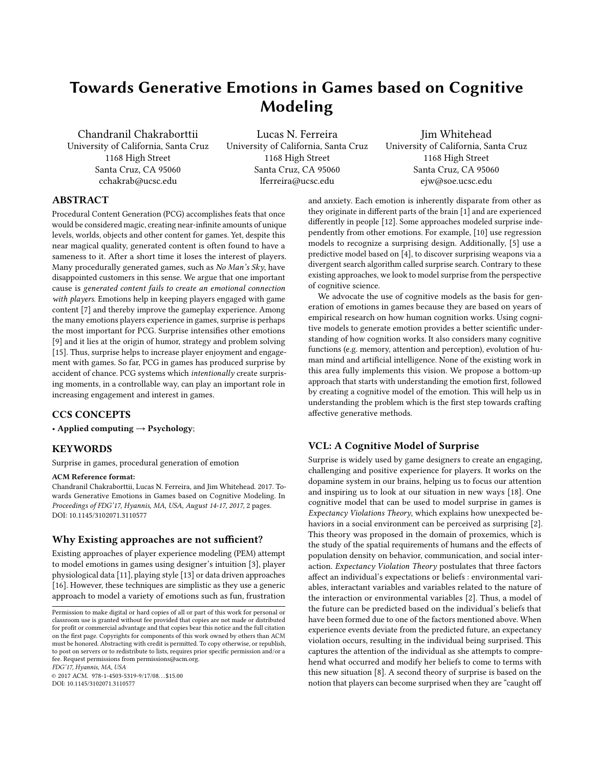# Towards Generative Emotions in Games based on Cognitive Modeling

Chandranil Chakraborttii University of California, Santa Cruz 1168 High Street Santa Cruz, CA 95060 cchakrab@ucsc.edu

Lucas N. Ferreira University of California, Santa Cruz 1168 High Street Santa Cruz, CA 95060 lferreira@ucsc.edu

Jim Whitehead University of California, Santa Cruz 1168 High Street Santa Cruz, CA 95060 ejw@soe.ucsc.edu

# ABSTRACT

Procedural Content Generation (PCG) accomplishes feats that once would be considered magic, creating near-infinite amounts of unique levels, worlds, objects and other content for games. Yet, despite this near magical quality, generated content is often found to have a sameness to it. After a short time it loses the interest of players. Many procedurally generated games, such as No Man's Sky, have disappointed customers in this sense. We argue that one important cause is generated content fails to create an emotional connection with players. Emotions help in keeping players engaged with game content [\[7\]](#page-1-0) and thereby improve the gameplay experience. Among the many emotions players experience in games, surprise is perhaps the most important for PCG. Surprise intensifies other emotions [\[9\]](#page-1-1) and it lies at the origin of humor, strategy and problem solving [\[15\]](#page-1-2). Thus, surprise helps to increase player enjoyment and engagement with games. So far, PCG in games has produced surprise by accident of chance. PCG systems which intentionally create surprising moments, in a controllable way, can play an important role in increasing engagement and interest in games.

## CCS CONCEPTS

• Applied computing  $\rightarrow$  Psychology;

## **KEYWORDS**

Surprise in games, procedural generation of emotion

#### ACM Reference format:

Chandranil Chakraborttii, Lucas N. Ferreira, and Jim Whitehead. 2017. Towards Generative Emotions in Games based on Cognitive Modeling. In Proceedings of FDG'17, Hyannis, MA, USA, August 14-17, 2017, [2](#page-1-3) pages. DOI: 10.1145/3102071.3110577

#### Why Existing approaches are not sufficient?

Existing approaches of player experience modeling (PEM) attempt to model emotions in games using designer's intuition [\[3\]](#page-1-4), player physiological data [\[11\]](#page-1-5), playing style [\[13\]](#page-1-6) or data driven approaches [\[16\]](#page-1-7). However, these techniques are simplistic as they use a generic approach to model a variety of emotions such as fun, frustration

FDG'17, Hyannis, MA, USA

 $@ 2017$  ACM. 978-1-4503-5319-9/17/08...\$15.00 DOI: 10.1145/3102071.3110577

and anxiety. Each emotion is inherently disparate from other as they originate in different parts of the brain [\[1\]](#page-1-8) and are experienced differently in people [\[12\]](#page-1-9). Some approaches modeled surprise independently from other emotions. For example, [\[10\]](#page-1-10) use regression models to recognize a surprising design. Additionally, [\[5\]](#page-1-11) use a predictive model based on [\[4\]](#page-1-12), to discover surprising weapons via a divergent search algorithm called surprise search. Contrary to these existing approaches, we look to model surprise from the perspective of cognitive science.

We advocate the use of cognitive models as the basis for generation of emotions in games because they are based on years of empirical research on how human cognition works. Using cognitive models to generate emotion provides a better scientific understanding of how cognition works. It also considers many cognitive functions (e.g. memory, attention and perception), evolution of human mind and artificial intelligence. None of the existing work in this area fully implements this vision. We propose a bottom-up approach that starts with understanding the emotion first, followed by creating a cognitive model of the emotion. This will help us in understanding the problem which is the first step towards crafting affective generative methods.

### VCL: A Cognitive Model of Surprise

Surprise is widely used by game designers to create an engaging, challenging and positive experience for players. It works on the dopamine system in our brains, helping us to focus our attention and inspiring us to look at our situation in new ways [\[18\]](#page-1-13). One cognitive model that can be used to model surprise in games is Expectancy Violations Theory, which explains how unexpected behaviors in a social environment can be perceived as surprising [\[2\]](#page-1-14). This theory was proposed in the domain of proxemics, which is the study of the spatial requirements of humans and the effects of population density on behavior, communication, and social interaction. Expectancy Violation Theory postulates that three factors affect an individual's expectations or beliefs : environmental variables, interactant variables and variables related to the nature of the interaction or environmental variables [\[2\]](#page-1-14). Thus, a model of the future can be predicted based on the individual's beliefs that have been formed due to one of the factors mentioned above. When experience events deviate from the predicted future, an expectancy violation occurs, resulting in the individual being surprised. This captures the attention of the individual as she attempts to comprehend what occurred and modify her beliefs to come to terms with this new situation [\[8\]](#page-1-15). A second theory of surprise is based on the notion that players can become surprised when they are "caught o

Permission to make digital or hard copies of all or part of this work for personal or classroom use is granted without fee provided that copies are not made or distributed for profit or commercial advantage and that copies bear this notice and the full citation on the first page. Copyrights for components of this work owned by others than ACM must be honored. Abstracting with credit is permitted. To copy otherwise, or republish, to post on servers or to redistribute to lists, requires prior specific permission and/or a fee. Request permissions from permissions@acm.org.